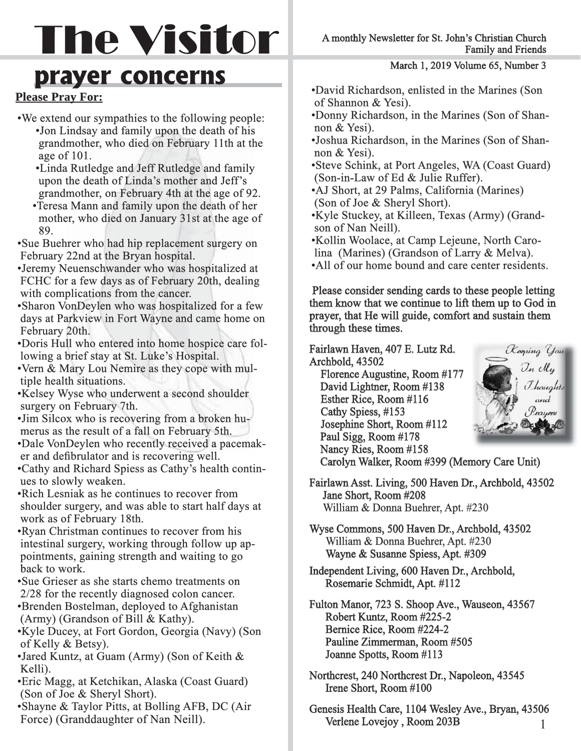# The Visitor

### **prayer concerns**

### **Please Pray For:**

- We extend our sympathies to the following people:
	- Jon Lindsay and family upon the death of his grandmother, who died on February 11th at the age of  $101$ .
	- •Linda Rutledge and Jeff Rutledge and family upon the death of Linda's mother and Jeff's grandmother, on February 4th at the age of 92.
	- Teresa Mann and family upon the death of her mother, who died on January 31st at the age of 89. 89.
- Sue Buehrer who had hip replacement surgery on February 22nd at the Bryan hospital.
- Jeremy Neuenschwander who was hospitalized at FCHC for a few days as of February 20th, dealing with complications from the cancer.
- Sharon VonDeylen who was hospitalized for a few days at Parkview in Fort Wayne and came home on February 20th.
- Doris Hull who entered into home hospice care fol lowing a brief stay at St. Luke's Hospital.
- Vern & Mary Lou Nemire as they cope with mul tiple health situations.
- Kelsey Wyse who underwent a second shoulder surgery on February 7th.
- Jim Silcox who is recovering from a broken hu merus as the result of a fall on February 5th.
- Dale VonDeylen who recently received a pacemak er and defibrulator and is recovering well.
- Cathy and Richard Spiess as Cathy's health contin ues to slowly weaken.
- Rich Lesniak as he continues to recover from shoulder surgery, and was able to start half days at work as of February 18th.
- Ryan Christman continues to recover from his intestinal surgery, working through follow up ap pointments, gaining strength and waiting to go back to work.
- Sue Grieser as she starts chemo treatments on  $2/28$  for the recently diagnosed colon cancer. • Brenden Bostelman, deployed to Afghanistan
- (Army) (Grandson of Bill & Kathy).
- Kyle Ducey, at Fort Gordon, Georgia (Navy) (Son of Kelly & Betsy).
- Jared Kuntz, at Guam (Army) (Son of Keith & Kelli).
- Eric Magg, at Ketchikan, Alaska (Coast Guard) (Son of Joe & Sheryl Short).
- Shayne & Taylor Pitts, at Bolling AFB, DC (Air Force) (Granddaughter of Nan Neill).

March 1, 2019 Volume 65, Number 3

- David Richardson, enlisted in the Marines (Son of Shannon & Yesi).
- Donny Richardson, in the Marines (Son of Shan non & Yesi).
- Joshua Richardson, in the Marines (Son of Shan non & Yesi).
- Steve Schink, at Port Angeles, WA (Coast Guard) (Son-in-Law of Ed & Julie Ruffer).
- AJ Short, at 29 Palms, California (Marines) (Son of Joe & Sheryl Short).
- Kyle Stuckey, at Killeen, Texas (Army) (Grandson of Nan Neill).
- Kollin Woolace, at Camp Lejeune, North Carolina (Marines) (Grandson of Larry & Melva).
- All of our home bound and care center residents.

Please consider sending cards to these people letting them know that we continue to lift them up to God in prayer, that He will guide, comfort and sustain them through these times.

Fairlawn Haven, 407 E. Lutz Rd. Archbold, 43502

 Florence Augustine, Room #177 David Lightner, Room #138 Esther Rice, Room #116 Cathy Spiess, #153 Josephine Short, Room #112 Paul Sigg, Room #178 Nancy Ries, Room #158



- Carolyn Walker, Room #399 (Memory Care Unit)
- Fairlawn Asst. Living, 500 Haven Dr., Archbold, 43502 Jane Short, Room #208 William & Donna Buehrer, Apt. #230
- Wyse Commons, 500 Haven Dr., Archbold, 43502 William & Donna Buehrer, Apt. #230 Wayne & Susanne Spiess, Apt. #309
- Independent Living, 600 Haven Dr., Archbold, Rosemarie Schmidt, Apt. #112
- Fulton Manor, 723 S. Shoop Ave., Wauseon, 43567 Robert Kuntz, Room #225-2 Bernice Rice, Room #224-2 Pauline Zimmerman, Room #505 Joanne Spotts, Room #113
- Northcrest, 240 Northcrest Dr., Napoleon, 43545 Irene Short, Room #100
- Genesis Health Care, 1104 Wesley Ave., Bryan, 43506 Verlene Lovejoy, Room 203B 1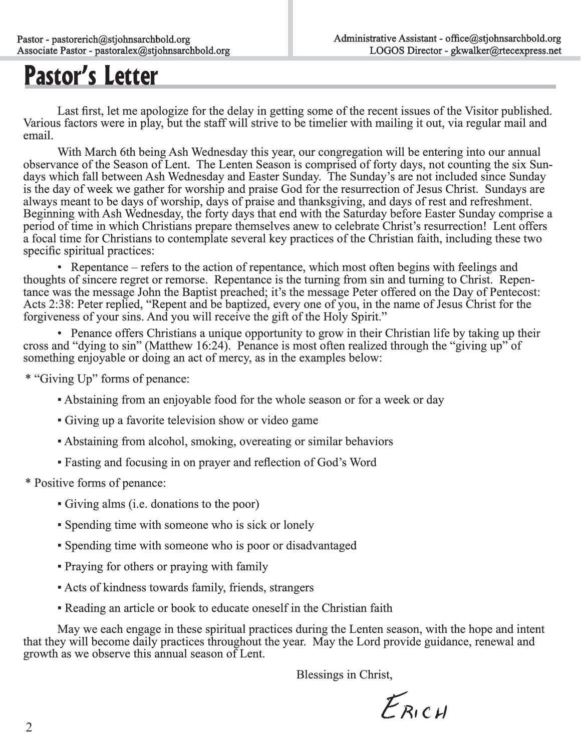### **Pastor's Letter**

Last first, let me apologize for the delay in getting some of the recent issues of the Visitor published.<br>Various factors were in play, but the staff will strive to be timelier with mailing it out, via regular mail and email.

With March 6th being Ash Wednesday this year, our congregation will be entering into our annual observance of the Season of Lent. The Lenten Season is comprised of forty days, not counting the six Sundays which fall between Ash Wednesday and Easter Sunday. The Sunday's are not included since Sunday is the day of week we gather for worship and praise God for the resurrection of Jesus Christ. Sundays are always meant to be days of worship, days of praise and thanksgiving, and days of rest and refreshment. Beginning with Ash Wednesday, the forty days that end with the Saturday before Easter Sunday comprise a period of time in which Christians prepare themselves anew to celebrate Christ's resurrection! Lent offers a focal time for Christians to contemplate several key practices of the Christian faith, including these two specific spiritual practices:

 • Repentance – refers to the action of repentance, which most often begins with feelings and thoughts of sincere regret or remorse. Repentance is the turning from sin and turning to Christ. Repentance was the message John the Baptist preached; it's the message Peter offered on the Day of Pentecost: Acts 2:38: Peter replied, "Repent and be baptized, every one of you, in the name of Jesus Christ for the forgiveness of your sins. And you will receive the gift of the Holy Spirit."

• Penance offers Christians a unique opportunity to grow in their Christian life by taking up their cross and "dying to sin" (Matthew 16:24). Penance is most often realized through the "giving up" of something enjoyable or doing an act of mercy, as in the examples below:

\* "Giving Up" forms of penance: penance:

- Abstaining from an enjoyable food for the whole season or for a week or day
- ▪Giving up a favorite television show or video game game
- Abstaining from alcohol, smoking, overeating or similar behaviors
- Fasting and focusing in on prayer and reflection of God's Word

\* Positive forms of penance: penance:

- ▪Giving alms (i.e. donations to the poor)
- ▪Spending time with someone who is sick or lonely
- ▪Spending time with someone who is poor or disadvantaged
- Praying for others or praying with family
- ▪Acts of kindness towards family, friends, strangers
- **Reading an article or book to educate oneself in the Christian faith**

May we each engage in these spiritual practices during the Lenten season, with the hope and intent<br>that they will become daily practices throughout the year. May the Lord provide guidance, renewal and<br>growth as we observe

Blessings in Christ,

 $F_{RICH}$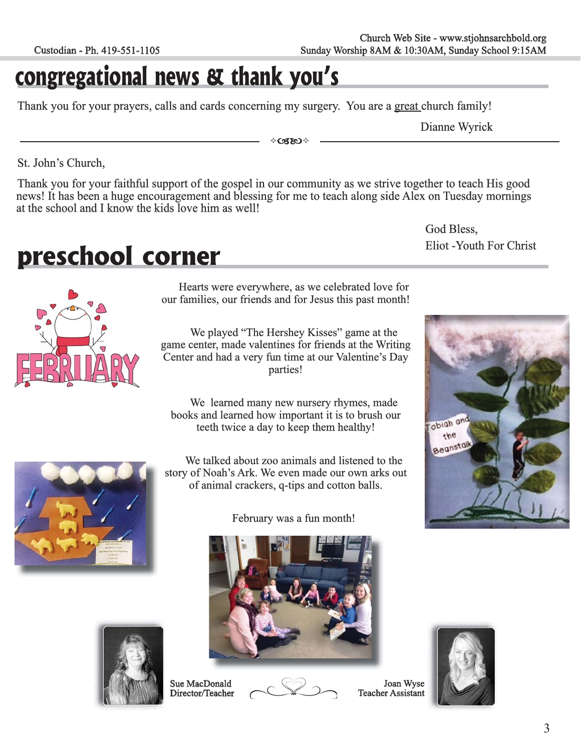### **congregational news & thank you's**

Thank you for your prayers, calls and cards concerning my surgery. You are a great church family!

Dianne Wyrick

God Bless,

obigh and the Beanstall

 $\Diamond$ CZEO  $\Diamond$ 

St. John's Church,

Thank you for your faithful support of the gospel in our community as we strive together to teach His good news! It has been a huge encouragement and blessing for me to teach along side Alex on Tuesday mornings at the scho

### **preschool corner**



Hearts were everywhere, as we celebrated love for our families, our friends and for Jesus this past month!

We played "The Hershey Kisses" game at the game center, made valentines for friends at the Writing Center and had a very fun time at our Valentine's Day parties!

We learned many new nursery rhymes, made books and learned how important it is to brush our teeth twice a day to keep them healthy!

We talked about zoo animals and listened to the story of Noah's Ark. We even made our own arks out of animal crackers, q-tips and cotton balls. f

February was a fun month!







Joan Wyse Teacher Assistant







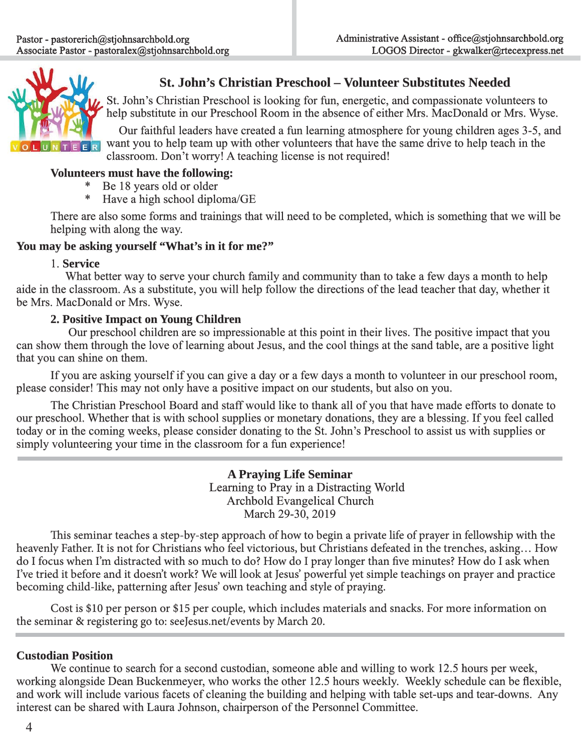

### **St. John's Christian Preschool – Volunteer Substitutes Needed t.**

St. John's Christian Preschool is looking for fun, energetic, and compassionate volunteers to help substitute in our Preschool Room in the absence of either Mrs. MacDonald or Mrs. Wyse.

Our faithful leaders have created a fun learning atmosphere for young children ages 3-5, and want you to help team up with other volunteers that have the same drive to help teach in the classroom. Don't worry! A teaching license is not required!

### **Volunteers must have the following:**

- \* Be 18 years old or older
- \* Have a high school diploma/GE

There are also some forms and trainings that will need to be completed, which is something that we will be helping with along the way.

#### You may be asking yourself "What's in it for me?"

#### 1. **Service**

What better way to serve your church family and community than to take a few days a month to help aide in the classroom. As a substitute, you will help follow the directions of the lead teacher that day, whether it be Mrs. MacDonald or Mrs. Wyse.

### **2. Positive Impact on Young Children**

Our preschool children are so impressionable at this point in their lives. The positive impact that you can show them through the love of learning about Jesus, and the cool things at the sand table, are a positive light that you can shine on them.

 If you are asking yourself if you can give a day or a few days a month to volunteer in our preschool room, please consider! This may not only have a positive impact on our students, but also on you.

The Christian Preschool Board and staff would like to thank all of you that have made efforts to donate to our preschool. Whether that is with school supplies or monetary donations, they are a blessing. If you feel called today or in the coming weeks, please consider donating to the St. John's Preschool to assist us with supplies or simply volunteering your time in the classroom for a fun experience!

> **A Praying Life Seminar**  Learning to Pray in a Distracting World Archbold Evangelical Church March 29-30, 2019

This seminar teaches a step-by-step approach of how to begin a private life of prayer in fellowship with the heavenly Father. It is not for Christians who feel victorious, but Christians defeated in the trenches, asking... How do I focus when I'm distracted with so much to do? How do I pray longer than five minutes? How do I ask when I've tried it before and it doesn't work? We will look at Jesus' powerful yet simple teachings on prayer and practice becoming child-like, patterning after Jesus' own teaching and style of praying.

 Cost is \$10 per person or \$15 per couple, which includes materials and snacks. For more information on the seminar & registering go to: seeJesus.net/events by March 20.

### **Custodian Position**

We continue to search for a second custodian, someone able and willing to work 12.5 hours per week, working alongside Dean Buckenmeyer, who works the other 12.5 hours weekly. Weekly schedule can be flexible, and work will include various facets of cleaning the building and helping with table set-ups and tear-downs. Any interest can be shared with Laura Johnson, chairperson of the Personnel Committee.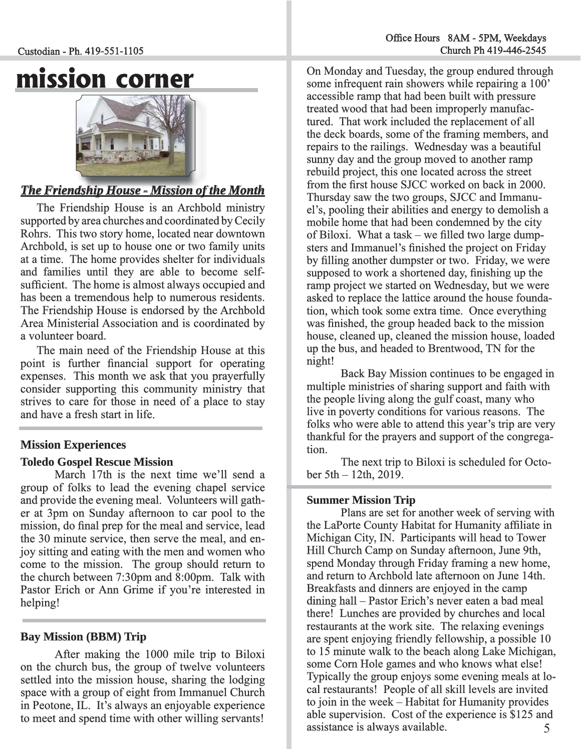Custodian - Ph. 419-551-1105

### **mission corner**



### *<u>The Friendship House - Mission of the Month***</u>**

The Friendship House is an Archbold ministry supported by area churches and coordinated by Cecily Rohrs. This two story home, located near downtown Archbold, is set up to house one or two family units at a time. The home provides shelter for individuals and families until they are able to become selfsufficient. The home is almost always occupied and has been a tremendous help to numerous residents. The Friendship House is endorsed by the Archbold Area Ministerial Association and is coordinated by a volunteer board.

The main need of the Friendship House at this point is further financial support for operating expenses. This month we ask that you prayerfully consider supporting this community ministry that strives to care for those in need of a place to stay and have a fresh start in life.

### **Mission Experiences**

### **Toledo Gospel Rescue Mission oledo**

March 17th is the next time we'll send a group of folks to lead the evening chapel service and provide the evening meal. Volunteers will gather at 3pm on Sunday afternoon to car pool to the mission, do final prep for the meal and service, lead the 30 minute service, then serve the meal, and enjoy sitting and eating with the men and women who come to the mission. The group should return to the church between  $7:30 \text{pm}$  and  $8:00 \text{pm}$ . Talk with Pastor Erich or Ann Grime if you're interested in helping!

### **Bay Mission (BBM) Trip**

After making the 1000 mile trip to Biloxi on the church bus, the group of twelve volunteers settled into the mission house, sharing the lodging space with a group of eight from Immanuel Church in Peotone, IL. It's always an enjoyable experience to meet and spend time with other willing servants!

On Monday and Tuesday, the group endured through n some infrequent rain showers while repairing a 100' accessible ramp that had been built with pressure treated wood that had been improperly manufactured. That work included the replacement of all the deck boards, some of the framing members, and repairs to the railings. Wednesday was a beautiful sunny day and the group moved to another ramp rebuild project, this one located across the street from the first house SJCC worked on back in 2000. Thursday saw the two groups, SJCC and Immanuel's, pooling their abilities and energy to demolish a mobile home that had been condemned by the city of Biloxi. What a task – we filled two large dumpsters and Immanuel's finished the project on Friday by filling another dumpster or two. Friday, we were supposed to work a shortened day, finishing up the ramp project we started on Wednesday, but we were asked to replace the lattice around the house foundation, which took some extra time. Once everything was finished, the group headed back to the mission house, cleaned up, cleaned the mission house, loaded up the bus, and headed to Brentwood, TN for the night!

 Back Bay Mission continues to be engaged in multiple ministries of sharing support and faith with the people living along the gulf coast, many who live in poverty conditions for various reasons. The folks who were able to attend this year's trip are very thankful for the prayers and support of the congregation.

The next trip to Biloxi is scheduled for Octo $ber 5th - 12th$ , 2019.

### **Summer Mission Trip**

5 Plans are set for another week of serving with the LaPorte County Habitat for Humanity affiliate in Michigan City, IN. Participants will head to Tower Hill Church Camp on Sunday afternoon, June 9th, spend Monday through Friday framing a new home, and return to Archbold late afternoon on June 14th. Breakfasts and dinners are enjoyed in the camp dining hall – Pastor Erich's never eaten a bad meal there! Lunches are provided by churches and local restaurants at the work site. The relaxing evenings are spent enjoying friendly fellowship, a possible 10 to 15 minute walk to the beach along Lake Michigan, some Corn Hole games and who knows what else! Typically the group enjoys some evening meals at local restaurants! People of all skill levels are invited to join in the week  $-$  Habitat for Humanity provides able supervision. Cost of the experience is \$125 and assistance is always available.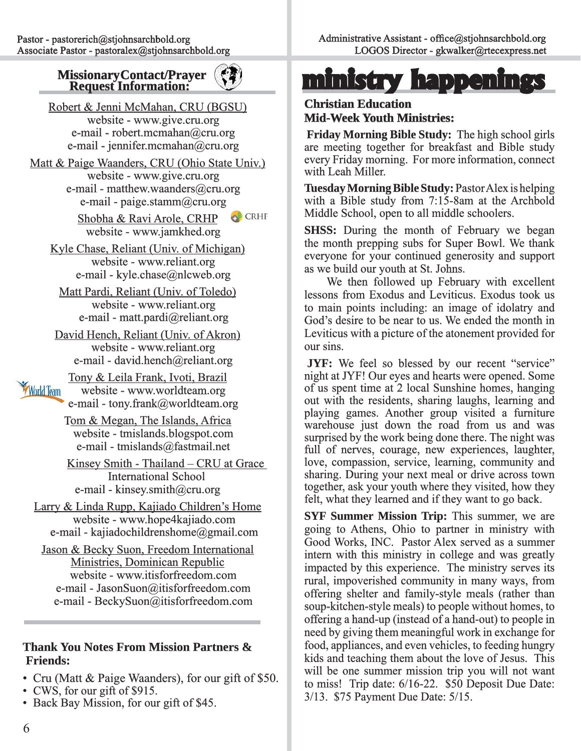

Robert & Jenni McMahan, CRU (BGSU) website - www.give.cru.org e-mail - robert.mcmahan@cru.org e-mail - jennifer.mcmahan@cru.org

Matt & Paige Waanders, CRU (Ohio State Univ.) website - www.give.cru.org e-mail - matthew.waanders@cru.org e-mail - paige.stamm@cru.org

CRHP<sup>2</sup> Shobha & Ravi Arole, CRHP website - www.jamkhed.org

Kyle Chase, Reliant (Univ. of Michigan) website - www.reliant.org e-mail - kyle.chase@nlcweb.org

Matt Pardi, Reliant (Univ. of Toledo) website - www.reliant.org e-mail - matt.pardi@reliant.org

David Hench, Reliant (Univ. of Akron) website - www.reliant.org e-mail - david.hench@reliant.org

Tony & Leila Frank, Ivoti, Brazil **World Team**  website - www.worldteam.org e-mail - tony.frank@worldteam.org

> Tom & Megan, The Islands, Africa website - tmislands.blogspot.com e-mail - tmislands@fastmail.net

Kinsey Smith - Thailand – CRU at Grace **International School** e-mail - kinsey.smith@cru.org

Larry & Linda Rupp, Kajiado Children's Home website - www.hope4kajiado.com e-mail - kajiadochildrenshome@gmail.com

Jason & Becky Suon, Freedom International Ministries, Dominican Republic website - www.itisforfreedom.com e-mail - JasonSuon@itisforfreedom.com e-mail - BeckySuon@itisforfreedom.com

### **Thank You Notes From Mission Partners & Friends:**

- Cru (Matt & Paige Waanders), for our gift of \$50.
- CWS, for our gift of \$915.
- Back Bay Mission, for our gift of \$45.

## **Missionary Contact/Prayer (3) ministry happenings**

### **Christian Education hristian Mid-Week Youth Ministries:**

**Friday Morning Bible Study:** The high school girls are meeting together for breakfast and Bible study every Friday morning. For more information, connect with Leah Miller.

**Tuesday Morning Bible Study: Pastor Alex is helping** with a Bible study from  $7:15-8$ am at the Archbold Middle School, open to all middle schoolers.

**SHSS:** During the month of February we began the month prepping subs for Super Bowl. We thank everyone for your continued generosity and support as we build our youth at St. Johns.

 We then followed up February with excellent lessons from Exodus and Leviticus. Exodus took us to main points including: an image of idolatry and God's desire to be near to us. We ended the month in Leviticus with a picture of the atonement provided for our sins.

**JYF:** We feel so blessed by our recent "service" night at JYF! Our eyes and hearts were opened. Some of us spent time at 2 local Sunshine homes, hanging f out with the residents, sharing laughs, learning and playing games. Another group visited a furniture warehouse just down the road from us and was surprised by the work being done there. The night was  $full$  of nerves, courage, new experiences, laughter, love, compassion, service, learning, community and sharing. During your next meal or drive across town together, ask your youth where they visited, how they felt, what they learned and if they want to go back.

**SYF Summer Mission Trip:** This summer, we are going to Athens, Ohio to partner in ministry with Good Works, INC. Pastor Alex served as a summer intern with this ministry in college and was greatly impacted by this experience. The ministry serves its rural, impoverished community in many ways, from offering shelter and family-style meals (rather than soup-kitchen-style meals) to people without homes, to offering a hand-up (instead of a hand-out) to people in ffering need by giving them meaningful work in exchange for food, appliances, and even vehicles, to feeding hungry kids and teaching them about the love of Jesus. This will be one summer mission trip you will not want to miss! Trip date:  $6/16-22$ . \$50 Deposit Due Date: 3/13. \$75 Payment Due Date: 5/15.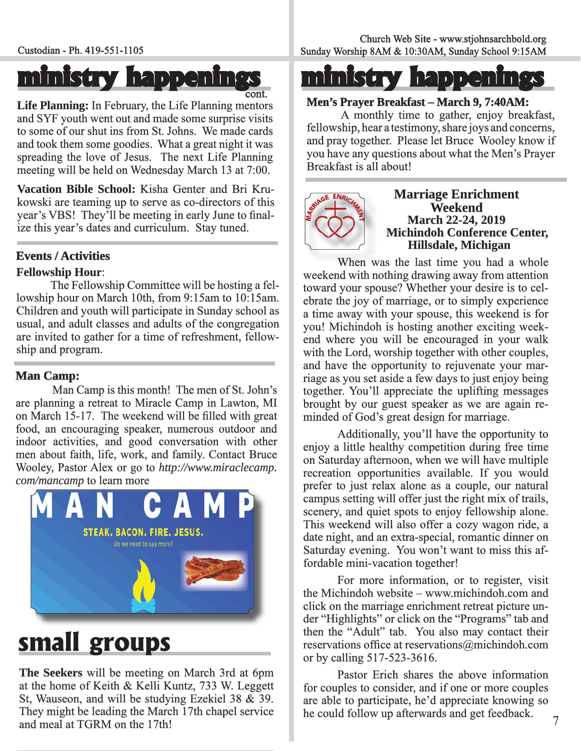### **ministry happenings inistry**  ont.

Life Planning: In February, the Life Planning mentors and SYF youth went out and made some surprise visits to some of our shut ins from St. Johns. We made cards and took them some goodies. What a great night it was spreading the love of Jesus. The next Life Planning meeting will be held on Wednesday March 13 at 7:00.

Vacation Bible School: Kisha Genter and Bri Krukowski are teaming up to serve as co-directors of this year's VBS! They'll be meeting in early June to finalize this year's dates and curriculum. Stay tuned.

#### **Events / Activities**

#### **Fellowship Hour:**

The Fellowship Committee will be hosting a fellowship hour on March 10th, from 9:15am to 10:15am. Children and youth will participate in Sunday school as usual, and adult classes and adults of the congregation are invited to gather for a time of refreshment, fellowship and program.

#### **Man Camp:**

 Man Camp is this month! The men of St. John's are planning a retreat to Miracle Camp in Lawton, MI on March 15-17. The weekend will be filled with great food, an encouraging speaker, numerous outdoor and indoor activities, and good conversation with other men about faith, life, work, and family. Contact Bruce Wooley, Pastor Alex or go to http://www.miraclecamp. *com/mancamp* to learn more



### **small groups**

**The Seekers** will be meeting on March 3rd at 6pm at the home of Keith & Kelli Kuntz, 733 W. Leggett St, Wauseon, and will be studying Ezekiel 38  $\tilde{\alpha}$  39. They might be leading the March 17th chapel service and meal at TGRM on the 17th!

### **ministry happenings inistry**

#### **Men's Prayer Breakfast – March 9, 7:40AM:**

 A monthly time to gather, enjoy breakfast, fellowship, hear a testimony, share joys and concerns, and pray together. Please let Bruce Wooley know if you have any questions about what the Men's Prayer Breakfast is all about!



## **Marriage Enrichment<br>
Weekend<br>
March 22-24, 2019<br>
Michindoh Conference Center, Hillsdale, Michigan**

When was the last time you had a whole weekend with nothing drawing away from attention toward your spouse? Whether your desire is to celebrate the joy of marriage, or to simply experience a time away with your spouse, this weekend is for you! Michindoh is hosting another exciting weekend where you will be encouraged in your walk with the Lord, worship together with other couples, and have the opportunity to rejuvenate your marriage as you set aside a few days to just enjoy being together. You'll appreciate the uplifting messages brought by our guest speaker as we are again reminded of God's great design for marriage.

 Additionally, you'll have the opportunity to enjoy a little healthy competition during free time on Saturday afternoon, when we will have multiple recreation opportunities available. If you would prefer to just relax alone as a couple, our natural campus setting will offer just the right mix of trails, scenery, and quiet spots to enjoy fellowship alone. This weekend will also offer a cozy wagon ride, a date night, and an extra-special, romantic dinner on Saturday evening. You won't want to miss this affordable mini-vacation together!

 For more information, or to register, visit the Michindoh website – www.michindoh.com and click on the marriage enrichment retreat picture under "Highlights" or click on the "Programs" tab and then the "Adult" tab. You also may contact their reservations office at reservations  $@$ michindoh.com or by calling  $517-523-3616$ .

 Pastor Erich shares the above information for couples to consider, and if one or more couples are able to participate, he'd appreciate knowing so he could follow up afterwards and get feedback.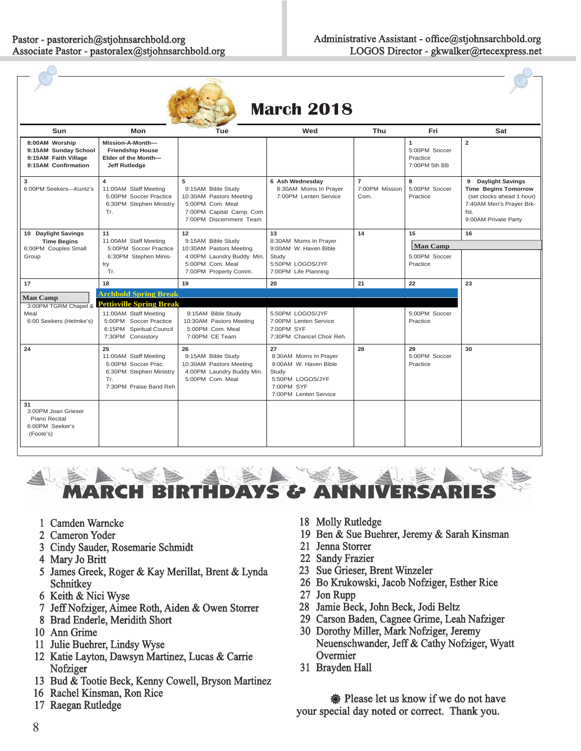| <b>March 2018</b>                                                                     |                                                                                                                |                                                                                                                               |                                                                                                                          |                                          |                                                 |                                                                                                                                            |  |
|---------------------------------------------------------------------------------------|----------------------------------------------------------------------------------------------------------------|-------------------------------------------------------------------------------------------------------------------------------|--------------------------------------------------------------------------------------------------------------------------|------------------------------------------|-------------------------------------------------|--------------------------------------------------------------------------------------------------------------------------------------------|--|
| Sun                                                                                   | Mon                                                                                                            | Tue                                                                                                                           | Wed                                                                                                                      | Thu                                      | Fri                                             | Sat                                                                                                                                        |  |
| 8:00AM Worship<br>9:15AM Sunday School<br>9:15AM Faith Village<br>9:15AM Confirmation | Mission-A-Month-<br><b>Friendship House</b><br>Elder of the Month-<br><b>Jeff Rutledge</b>                     |                                                                                                                               |                                                                                                                          |                                          | 1<br>5:00PM Soccer<br>Practice<br>7:00PM 5th BB | $\overline{2}$                                                                                                                             |  |
| 3<br>6:00PM Seekers-Kuntz's                                                           | 11:00AM Staff Meeting<br>5:00PM Soccer Practice<br>6:30PM Stephen Ministry<br>Tr.                              | 5<br>9:15AM Bible Study<br>10:30AM Pastors Meeting<br>5:00PM Com. Meal<br>7:00PM Capital Camp. Com<br>7:00PM Discernment Team | 6 Ash Wednesday<br>8:30AM Moms In Prayer<br>7:00PM Lenten Service                                                        | $\overline{7}$<br>7:00PM Mission<br>Com. | 8<br>5:00PM Soccer<br>Practice                  | 9 Daylight Savings<br><b>Time Begins Tomorrow</b><br>(set clocks ahead 1 hour)<br>7:40AM Men's Prayer Brk-<br>fst.<br>9:00AM Private Party |  |
| 10 Daylight Savings                                                                   | 11                                                                                                             | 12                                                                                                                            | 13                                                                                                                       | 14                                       | 15                                              | 16                                                                                                                                         |  |
| <b>Time Begins</b><br>6:00PM Couples Small                                            | 11:00AM Staff Meeting<br>5:00PM Soccer Practice                                                                | 9:15AM Bible Study<br>10:30AM Pastors Meeting                                                                                 | 8:30AM Moms In Prayer<br>9:00AM W. Haven Bible                                                                           |                                          | <b>Man Camp</b>                                 |                                                                                                                                            |  |
| Group                                                                                 | 6:30PM Stephen Minis-<br>try<br>Tr.                                                                            | 4:00PM Laundry Buddy Min.<br>5:00PM Com. Meal<br>7:00PM Property Comm.                                                        | Study<br>5:50PM LOGOS/JYF<br>7:00PM Life Planning                                                                        |                                          | 5:00PM Soccer<br>Practice                       |                                                                                                                                            |  |
| 17                                                                                    | 18                                                                                                             | 19                                                                                                                            | 20                                                                                                                       | 21                                       | 22                                              | 23                                                                                                                                         |  |
| <b>Man Camp</b>                                                                       | <b>Archbold Spring Break</b>                                                                                   |                                                                                                                               |                                                                                                                          |                                          |                                                 |                                                                                                                                            |  |
|                                                                                       | 3:00PM TGRM Chapel & Pettisville Spring Break                                                                  |                                                                                                                               |                                                                                                                          |                                          |                                                 |                                                                                                                                            |  |
| Meal<br>6:00 Seekers (Helmke's)                                                       | 11:00AM Staff Meeting<br>5:00PM Soccer Practice<br>6:15PM Spiritual Council<br>7:30PM Consistory               | 9:15AM Bible Study<br>10:30AM Pastors Meeting<br>5:00PM Com. Meal<br>7:00PM CE Team                                           | 5:50PM LOGOS/JYF<br>7:00PM Lenten Service<br>7:00PM SYF<br>7:30PM Chancel Choir Reh.                                     |                                          | 5:00PM Soccer<br>Practice                       |                                                                                                                                            |  |
| 24                                                                                    | 25<br>11:00AM Staff Meeting<br>5:00PM Soccer Prac.<br>6:30PM Stephen Ministry<br>Tr.<br>7:30PM Praise Band Reh | 26<br>9:15AM Bible Study<br>10:30AM Pastors Meeting<br>4:00PM Laundry Buddy Min.<br>5:00PM Com. Meal                          | 27<br>8:30AM Moms In Praver<br>9:00AM W. Haven Bible<br>Study<br>5:50PM LOGOS/JYF<br>7:00PM SYF<br>7:00PM Lenten Service | 28                                       | 29<br>5:00PM Soccer<br>Practice                 | 30                                                                                                                                         |  |
| 31<br>3:00PM Joan Grieser<br>Piano Recital<br>6:00PM Seeker's<br>(Foote's)            |                                                                                                                |                                                                                                                               |                                                                                                                          |                                          |                                                 |                                                                                                                                            |  |



- 1 Camden Warncke
- 2 Cameron Yoder
- 3 Cindy Sauder, Rosemarie Schmidt
- 4 Mary Jo Britt
- 5 James Greek, Roger & Kay Merillat, Brent & Lynda Schnitkey
- 6 Keith & Nici Wyse
- 7 Jeff Nofziger, Aimee Roth, Aiden & Owen Storrer
- 8 Brad Enderle, Meridith Short
- 10 Ann Grime
- 11 Julie Buehrer, Lindsy Wyse
- 12 Katie Layton, Dawsyn Martinez, Lucas & Carrie Nofziger
- 13 Bud & Tootie Beck, Kenny Cowell, Bryson Martinez
- 16 Rachel Kinsman, Ron Rice 6
- 17 Raegan Rutledge
- 18 Molly Rutledge
- 19 Ben & Sue Buehrer, Jeremy & Sarah Kinsman
- 21 Jenna Storrer
- 22 Sandy Frazier
- 23 Sue Grieser, Brent Winzeler
- 26 Bo Krukowski, Jacob Nofziger, Esther Rice
- 27 Jon Rupp
- 28 Jamie Beck, John Beck, Jodi Beltz 8
- 29 Carson Baden, Cagnee Grime, Leah Nafziger
- 30 Dorothy Miller, Mark Nofziger, Jeremy Neuenschwander, Jeff & Cathy Nofziger, Wyatt Overmier
- 31 Brayden Hall

**※ Please let us know if we do not have** your special day noted or correct. Thank you.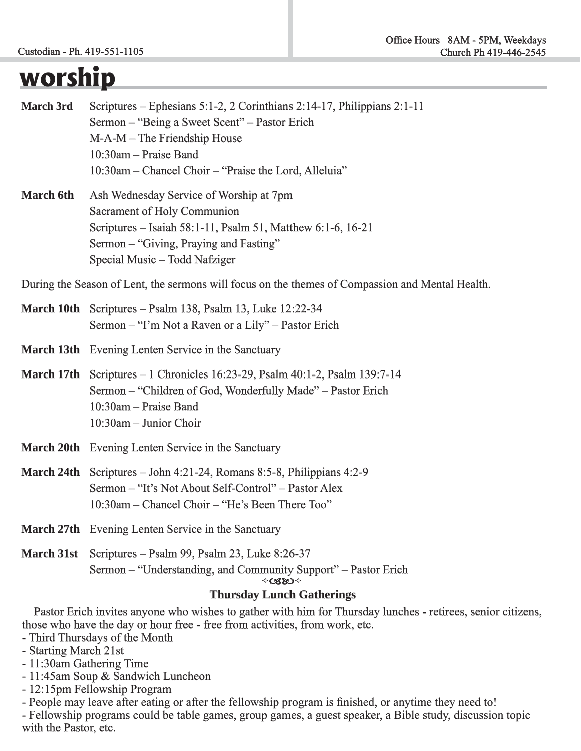### **worship**

| <b>March 3rd</b> | Scriptures – Ephesians 5:1-2, 2 Corinthians 2:14-17, Philippians 2:1-11 |  |  |  |  |
|------------------|-------------------------------------------------------------------------|--|--|--|--|
|                  | Sermon – "Being a Sweet Scent" – Pastor Erich                           |  |  |  |  |
|                  | $M-A-M$ – The Friendship House                                          |  |  |  |  |
|                  | $10:30$ am – Praise Band                                                |  |  |  |  |
|                  | 10:30am – Chancel Choir – "Praise the Lord, Alleluia"                   |  |  |  |  |
|                  |                                                                         |  |  |  |  |

**March 6th** Ash Wednesday Service of Worship at 7pm Sacrament of Holy Communion Scriptures – Isaiah 58:1-11, Psalm 51, Matthew 6:1-6, 16-21 Sermon – "Giving, Praying and Fasting" Special Music – Todd Nafziger

During the Season of Lent, the sermons will focus on the themes of Compassion and Mental Health.

- **March 10th** Scriptures Psalm 138, Psalm 13, Luke 12:22-34 Sermon – "I'm Not a Raven or a Lily" – Pastor Erich
- **March 13th Evening Lenten Service in the Sanctuary**
- **March 17th** Scriptures 1 Chronicles 16:23-29, Psalm 40:1-2, Psalm 139:7-14 Sermon – "Children of God, Wonderfully Made" – Pastor Erich  $10:30$ am – Praise Band 10:30am – Junior Choir Choir
- **March 20th Evening Lenten Service in the Sanctuary**
- **March 24th** Scriptures John 4:21-24, Romans 8:5-8, Philippians 4:2-9 Sermon – "It's Not About Self-Control" – Pastor Alex  $10:30$ am – Chancel Choir – "He's Been There Too"
- **March 27th Evening Lenten Service in the Sanctuary**
- **March 31st** Scriptures Psalm 99, Psalm 23, Luke 8:26-37 Sermon – "Understanding, and Community Support" – Pastor Erich   $\Diamond$  GBO  $\Diamond$

#### **Thursday Lunch Gatherings**

 Pastor Erich invites anyone who wishes to gather with him for Thursday lunches - retirees, senior citizens, those who have the day or hour free - free from activities, from work, etc.

- Third Thursdays of the Month
- Starting March 21st
- $-11:30$ am Gathering Time
- 11:45am Soup & Sandwich Luncheon Luncheon
- $-12:15$ pm Fellowship Program
- People may leave after eating or after the fellowship program is finished, or anytime they need to!

- Fellowship programs could be table games, group games, a guest speaker, a Bible study, discussion topic with the Pastor, etc.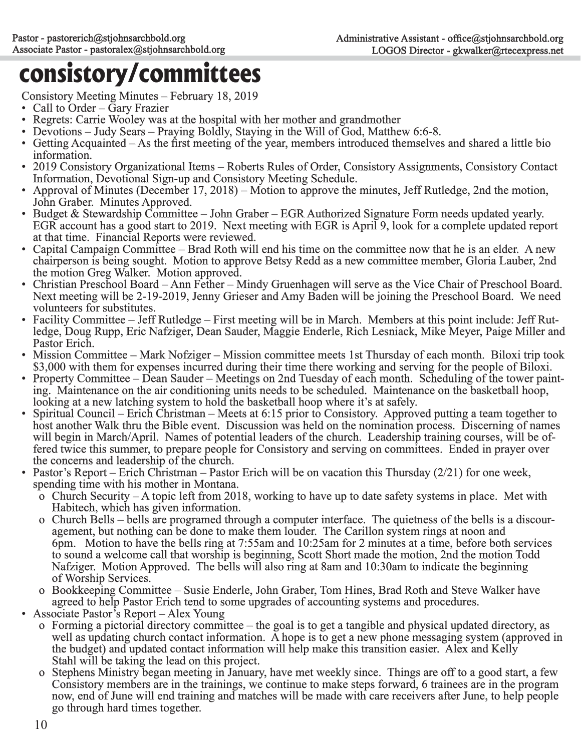### **consistory/committees**

- 
- 
- 
- 
- 
- 
- 
- 
- 
- 
- 
- 
- 
- -
- Continuous Take a method Manuse February 18, 2019<br>Continuous Take a method with the mother and grandronber<br>
Continuous Take a method and the solution of the solution of the solution of the solution of the continuo
	-
- -
	-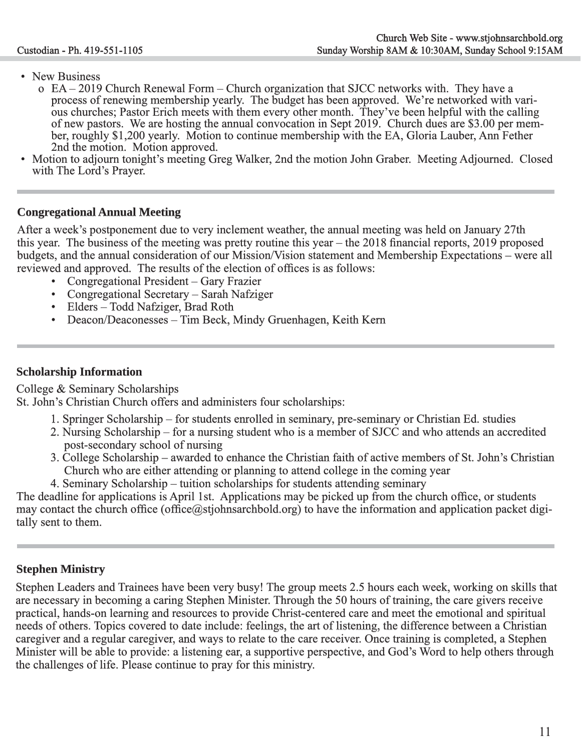- 
- New Business<br>
o EA 2019 Church Renewal Form Church organization that SJCC networks with. They have a<br>
process of renewing membership yearly. The budget has been approved. We're networked with vari-<br>
ous churches; Pas
- 

#### **Congregational Annual Meeting ongregational**

After a week's postponement due to very inclement weather, the annual meeting was held on January 27th this year. The business of the meeting was pretty routine this year – the  $2018$  financial reports,  $2019$  proposed budgets, and the annual consideration of our Mission/Vision statement and Membership Expectations – were all reviewed and approved. The results of the election of offices is as follows:

- Congregational President Gary Frazier
- Congregational Secretary Sarah Nafziger
- Elders Todd Nafziger, Brad Roth
- Deacon/Deaconesses Tim Beck, Mindy Gruenhagen, Keith Kern

#### **Scholarship Information**

College & Seminary Scholarships

St. John's Christian Church offers and administers four scholarships:

- 1. Springer Scholarship for students enrolled in seminary, pre-seminary or Christian Ed. studies
- 2. Nursing Scholarship for a nursing student who is a member of SJCC and who attends an accredited post-secondary school of nursing
- 3. College Scholarship awarded to enhance the Christian faith of active members of St. John's Christian Church who are either attending or planning to attend college in the coming year
- 4. Seminary Scholarship tuition scholarships for students attending seminary

The deadline for applications is April 1st. Applications may be picked up from the church office, or students may contact the church office (office@stjohnsarchbold.org) to have the information and application packet digitally sent to them.

### **Stephen Ministry**

Stephen Leaders and Trainees have been very busy! The group meets 2.5 hours each week, working on skills that are necessary in becoming a caring Stephen Minister. Through the 50 hours of training, the care givers receive practical, hands-on learning and resources to provide Christ-centered care and meet the emotional and spiritual needs of others. Topics covered to date include: feelings, the art of listening, the difference between a Christian caregiver and a regular caregiver, and ways to relate to the care receiver. Once training is completed, a Stephen Minister will be able to provide: a listening ear, a supportive perspective, and God's Word to help others through the challenges of life. Please continue to pray for this ministry.